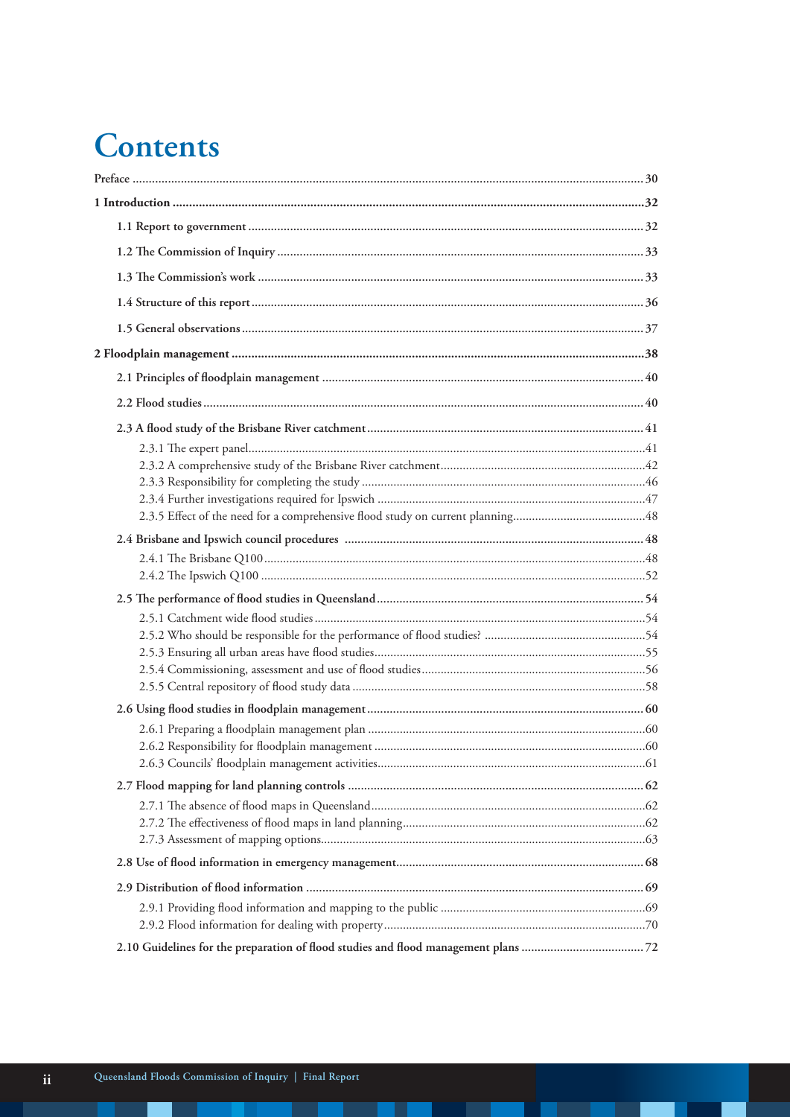## Contents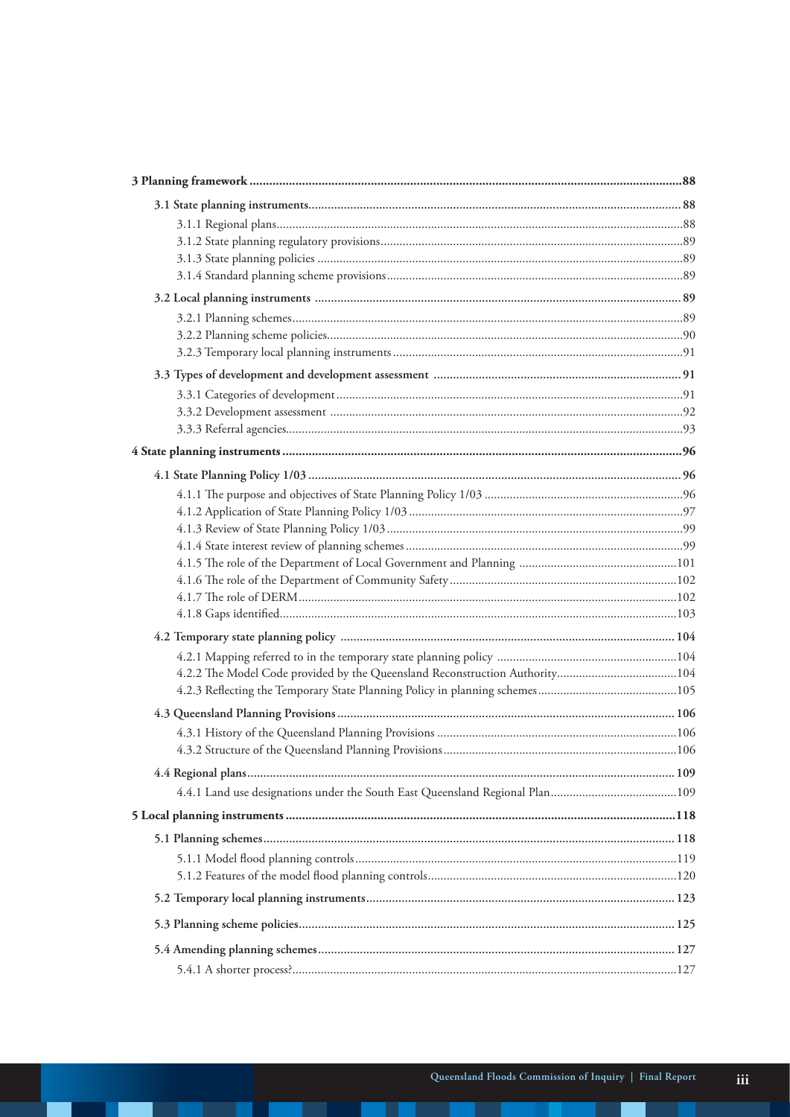| 4.2.2 The Model Code provided by the Queensland Reconstruction Authority104 |  |
|-----------------------------------------------------------------------------|--|
|                                                                             |  |
|                                                                             |  |
|                                                                             |  |
|                                                                             |  |
|                                                                             |  |
|                                                                             |  |
|                                                                             |  |
|                                                                             |  |
|                                                                             |  |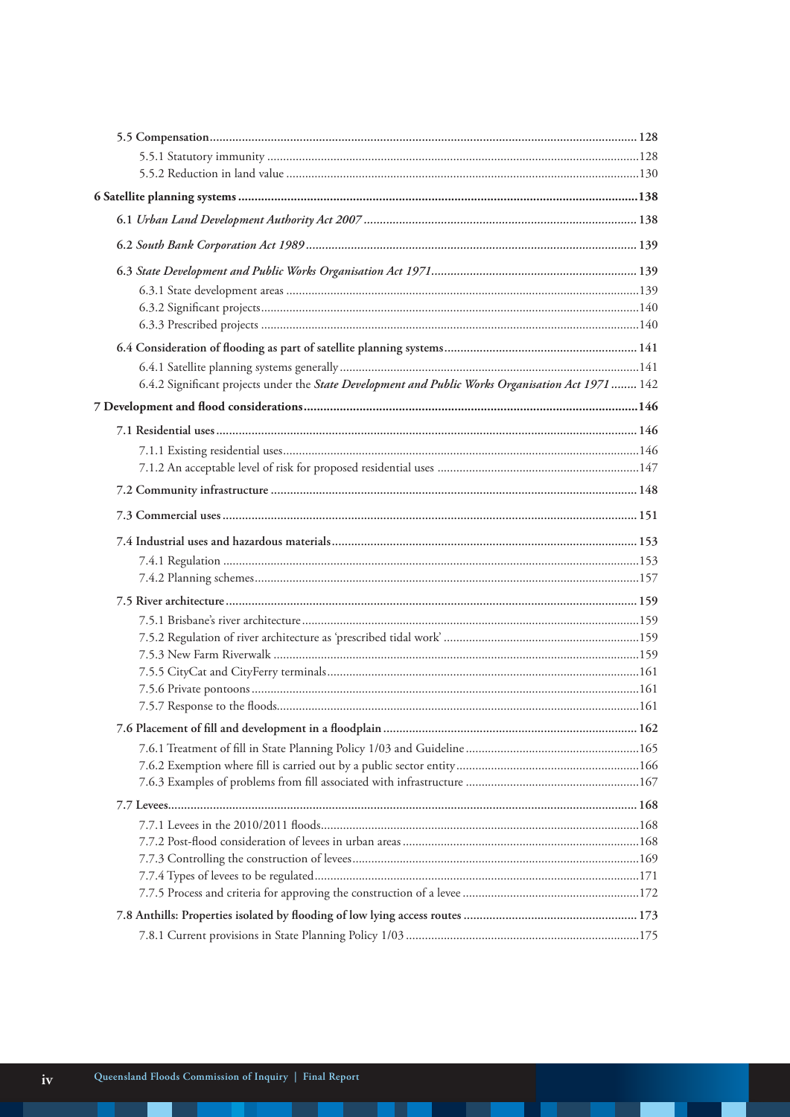| 6.4.2 Significant projects under the State Development and Public Works Organisation Act 1971  142 |  |
|----------------------------------------------------------------------------------------------------|--|
|                                                                                                    |  |
|                                                                                                    |  |
|                                                                                                    |  |
|                                                                                                    |  |
|                                                                                                    |  |
|                                                                                                    |  |
|                                                                                                    |  |
|                                                                                                    |  |
|                                                                                                    |  |
|                                                                                                    |  |
|                                                                                                    |  |
|                                                                                                    |  |
|                                                                                                    |  |
|                                                                                                    |  |
|                                                                                                    |  |
|                                                                                                    |  |
|                                                                                                    |  |
|                                                                                                    |  |
|                                                                                                    |  |
|                                                                                                    |  |
|                                                                                                    |  |
|                                                                                                    |  |
|                                                                                                    |  |
|                                                                                                    |  |
|                                                                                                    |  |
|                                                                                                    |  |
|                                                                                                    |  |
|                                                                                                    |  |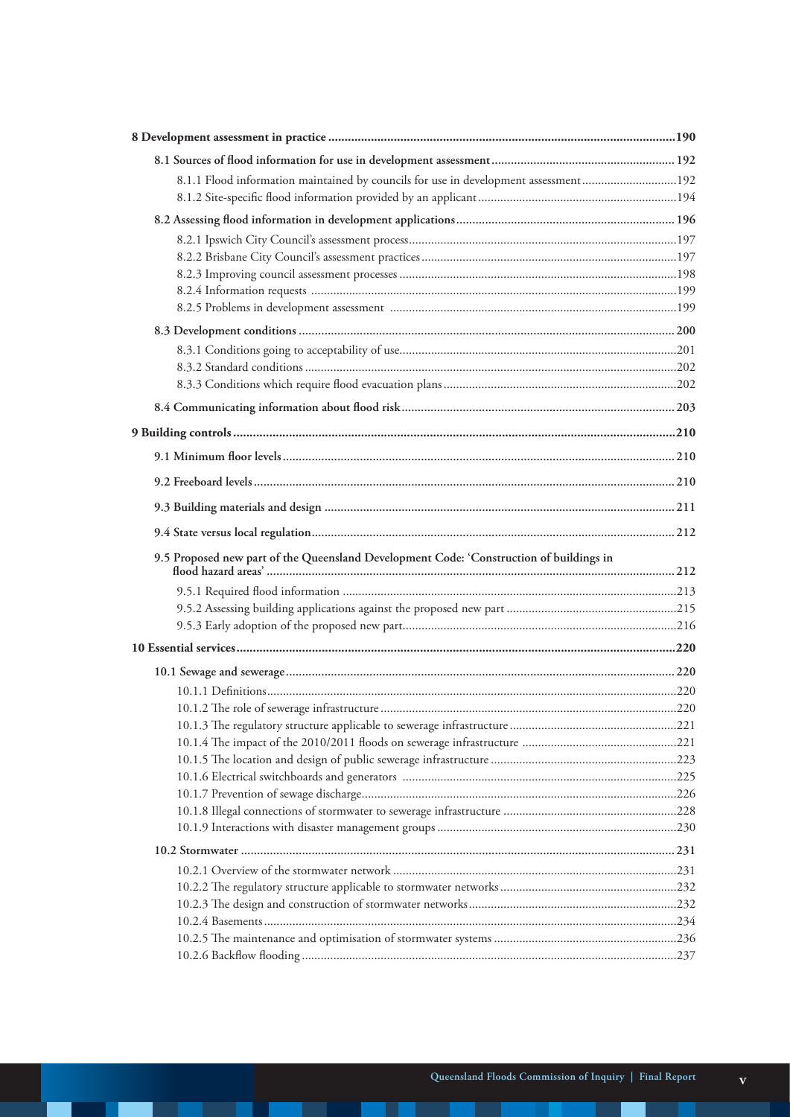| 8.1.1 Flood information maintained by councils for use in development assessment192     |  |
|-----------------------------------------------------------------------------------------|--|
|                                                                                         |  |
|                                                                                         |  |
|                                                                                         |  |
|                                                                                         |  |
|                                                                                         |  |
|                                                                                         |  |
|                                                                                         |  |
|                                                                                         |  |
|                                                                                         |  |
|                                                                                         |  |
|                                                                                         |  |
|                                                                                         |  |
|                                                                                         |  |
|                                                                                         |  |
|                                                                                         |  |
|                                                                                         |  |
|                                                                                         |  |
| 9.5 Proposed new part of the Queensland Development Code: 'Construction of buildings in |  |
|                                                                                         |  |
|                                                                                         |  |
|                                                                                         |  |
|                                                                                         |  |
|                                                                                         |  |
|                                                                                         |  |
|                                                                                         |  |
|                                                                                         |  |
|                                                                                         |  |
|                                                                                         |  |
|                                                                                         |  |
|                                                                                         |  |
|                                                                                         |  |
|                                                                                         |  |
|                                                                                         |  |
|                                                                                         |  |
|                                                                                         |  |
|                                                                                         |  |
|                                                                                         |  |
|                                                                                         |  |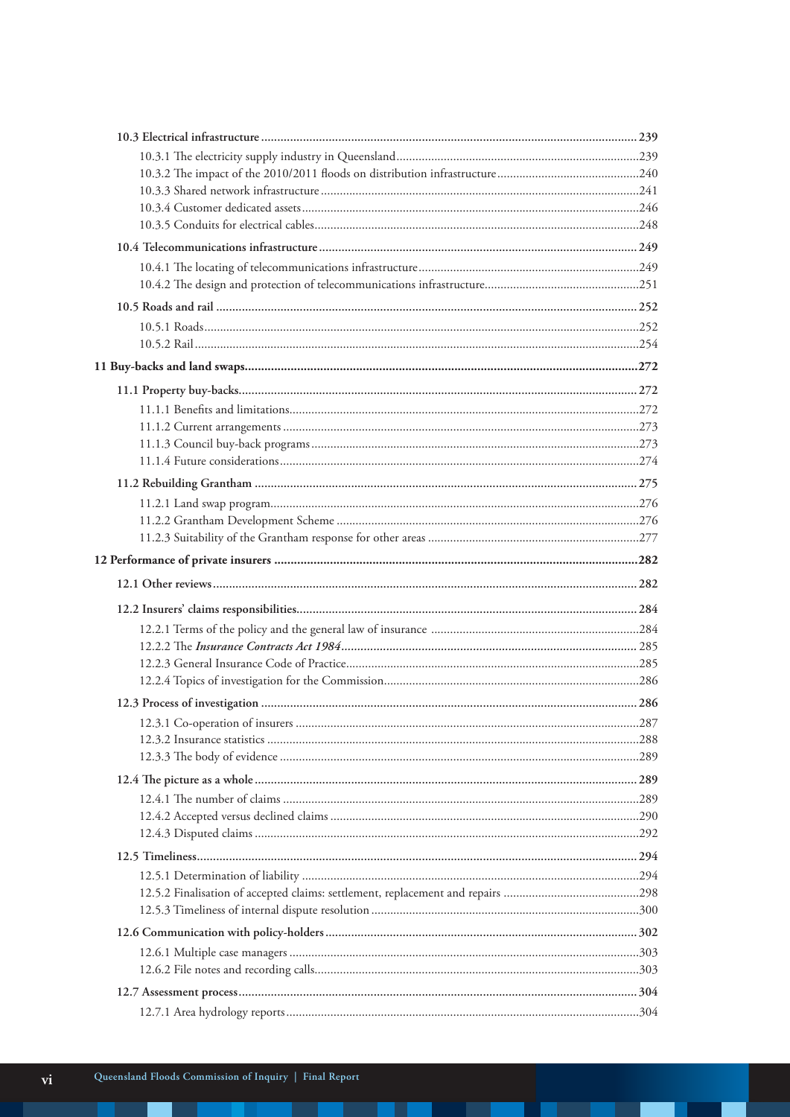T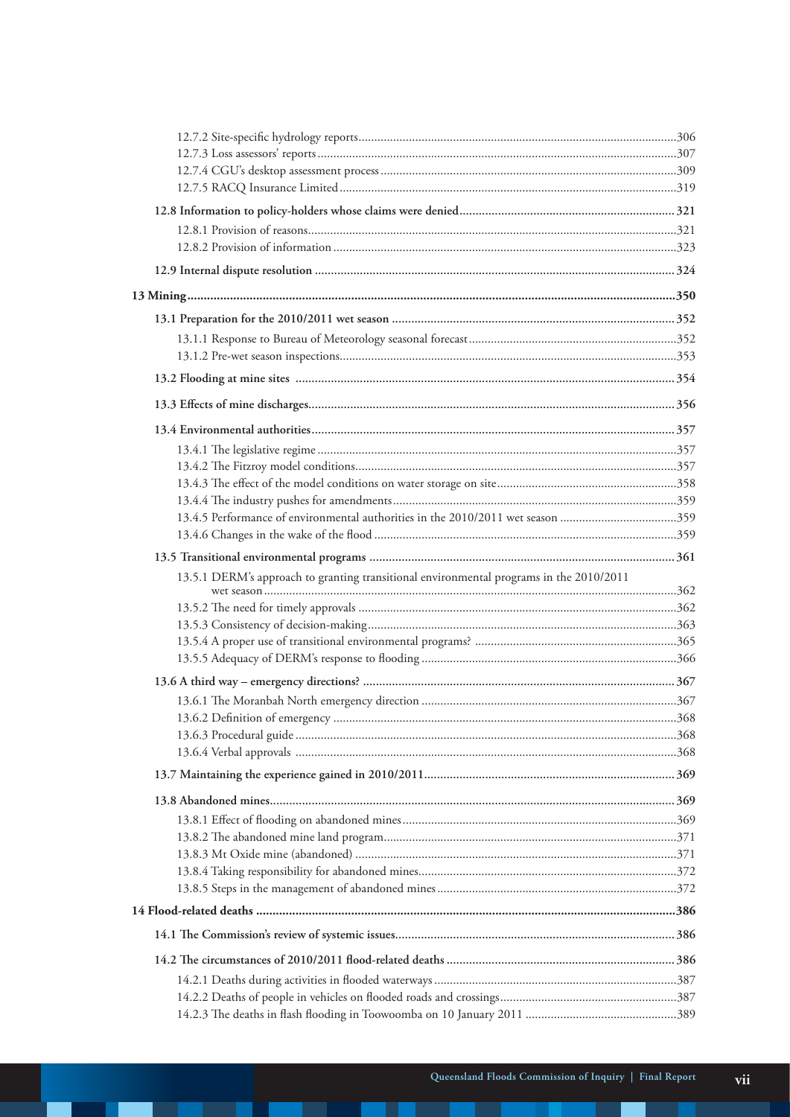| 13.4.5 Performance of environmental authorities in the 2010/2011 wet season 359         |  |
|-----------------------------------------------------------------------------------------|--|
|                                                                                         |  |
|                                                                                         |  |
| 13.5.1 DERM's approach to granting transitional environmental programs in the 2010/2011 |  |
|                                                                                         |  |
|                                                                                         |  |
|                                                                                         |  |
|                                                                                         |  |
|                                                                                         |  |
|                                                                                         |  |
|                                                                                         |  |
|                                                                                         |  |
|                                                                                         |  |
|                                                                                         |  |
|                                                                                         |  |
|                                                                                         |  |
|                                                                                         |  |
|                                                                                         |  |
|                                                                                         |  |
|                                                                                         |  |
|                                                                                         |  |
|                                                                                         |  |
|                                                                                         |  |
|                                                                                         |  |
|                                                                                         |  |
|                                                                                         |  |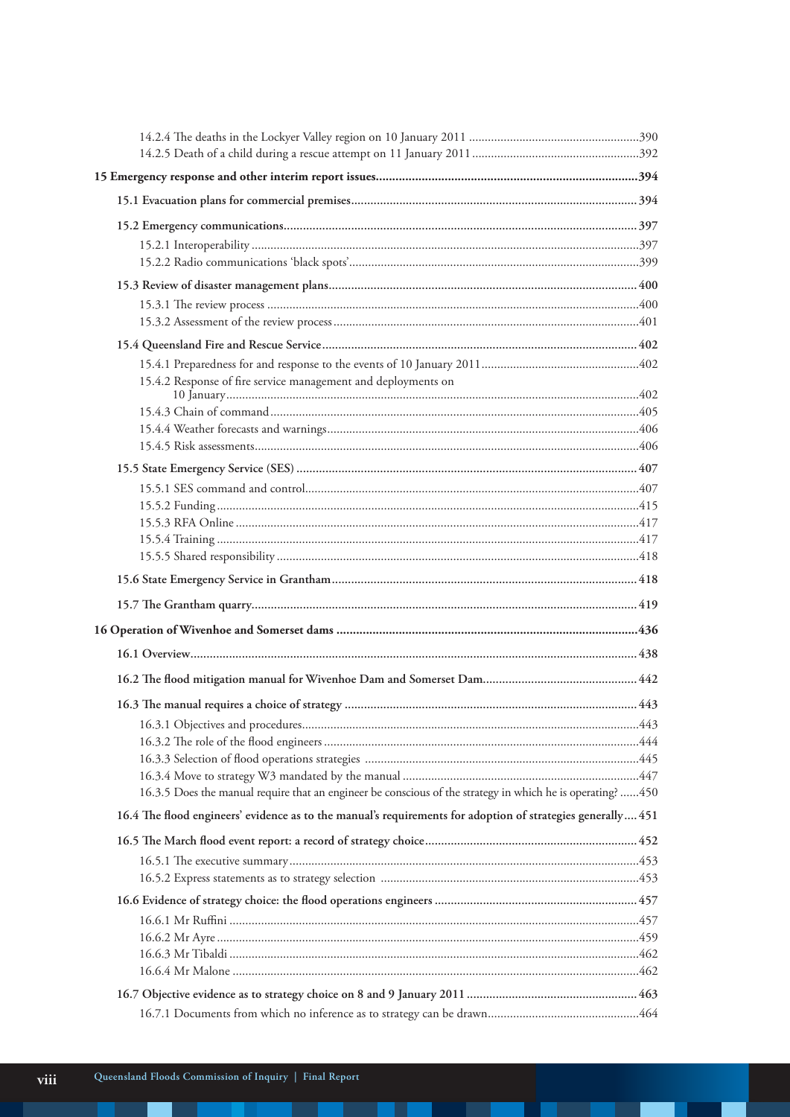| 15.4.2 Response of fire service management and deployments on                                               |  |
|-------------------------------------------------------------------------------------------------------------|--|
|                                                                                                             |  |
|                                                                                                             |  |
|                                                                                                             |  |
|                                                                                                             |  |
|                                                                                                             |  |
|                                                                                                             |  |
|                                                                                                             |  |
|                                                                                                             |  |
|                                                                                                             |  |
|                                                                                                             |  |
|                                                                                                             |  |
|                                                                                                             |  |
|                                                                                                             |  |
|                                                                                                             |  |
|                                                                                                             |  |
|                                                                                                             |  |
|                                                                                                             |  |
|                                                                                                             |  |
|                                                                                                             |  |
| 16.3.5 Does the manual require that an engineer be conscious of the strategy in which he is operating? 450  |  |
| 16.4 The flood engineers' evidence as to the manual's requirements for adoption of strategies generally 451 |  |
|                                                                                                             |  |
|                                                                                                             |  |
|                                                                                                             |  |
|                                                                                                             |  |
|                                                                                                             |  |
|                                                                                                             |  |
|                                                                                                             |  |
|                                                                                                             |  |
|                                                                                                             |  |
|                                                                                                             |  |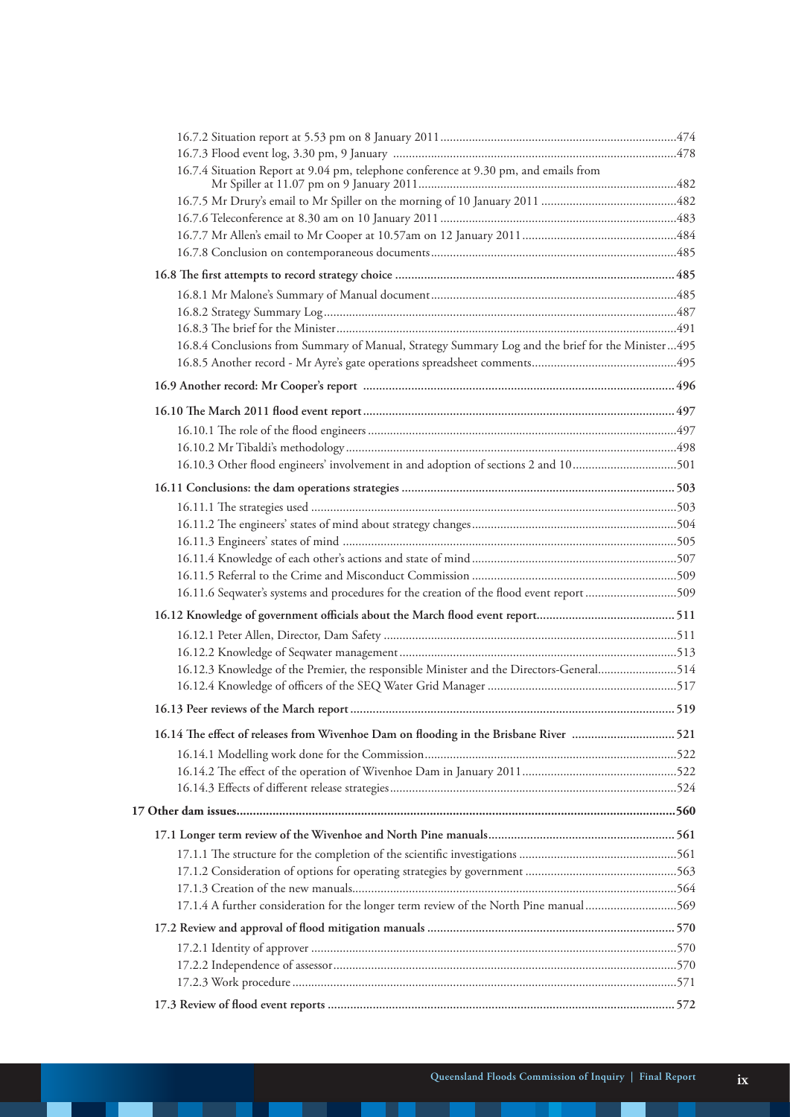| 16.7.4 Situation Report at 9.04 pm, telephone conference at 9.30 pm, and emails from              |  |
|---------------------------------------------------------------------------------------------------|--|
|                                                                                                   |  |
|                                                                                                   |  |
|                                                                                                   |  |
|                                                                                                   |  |
|                                                                                                   |  |
|                                                                                                   |  |
|                                                                                                   |  |
|                                                                                                   |  |
| 16.8.4 Conclusions from Summary of Manual, Strategy Summary Log and the brief for the Minister495 |  |
|                                                                                                   |  |
|                                                                                                   |  |
|                                                                                                   |  |
|                                                                                                   |  |
|                                                                                                   |  |
| 16.10.3 Other flood engineers' involvement in and adoption of sections 2 and 10501                |  |
|                                                                                                   |  |
|                                                                                                   |  |
|                                                                                                   |  |
|                                                                                                   |  |
|                                                                                                   |  |
|                                                                                                   |  |
| 16.11.6 Seqwater's systems and procedures for the creation of the flood event report 509          |  |
|                                                                                                   |  |
|                                                                                                   |  |
|                                                                                                   |  |
| 16.12.3 Knowledge of the Premier, the responsible Minister and the Directors-General514           |  |
|                                                                                                   |  |
|                                                                                                   |  |
| 16.14 The effect of releases from Wivenhoe Dam on flooding in the Brisbane River 521              |  |
|                                                                                                   |  |
|                                                                                                   |  |
|                                                                                                   |  |
|                                                                                                   |  |
|                                                                                                   |  |
|                                                                                                   |  |
|                                                                                                   |  |
|                                                                                                   |  |
| 17.1.4 A further consideration for the longer term review of the North Pine manual 569            |  |
|                                                                                                   |  |
|                                                                                                   |  |
|                                                                                                   |  |
|                                                                                                   |  |
|                                                                                                   |  |